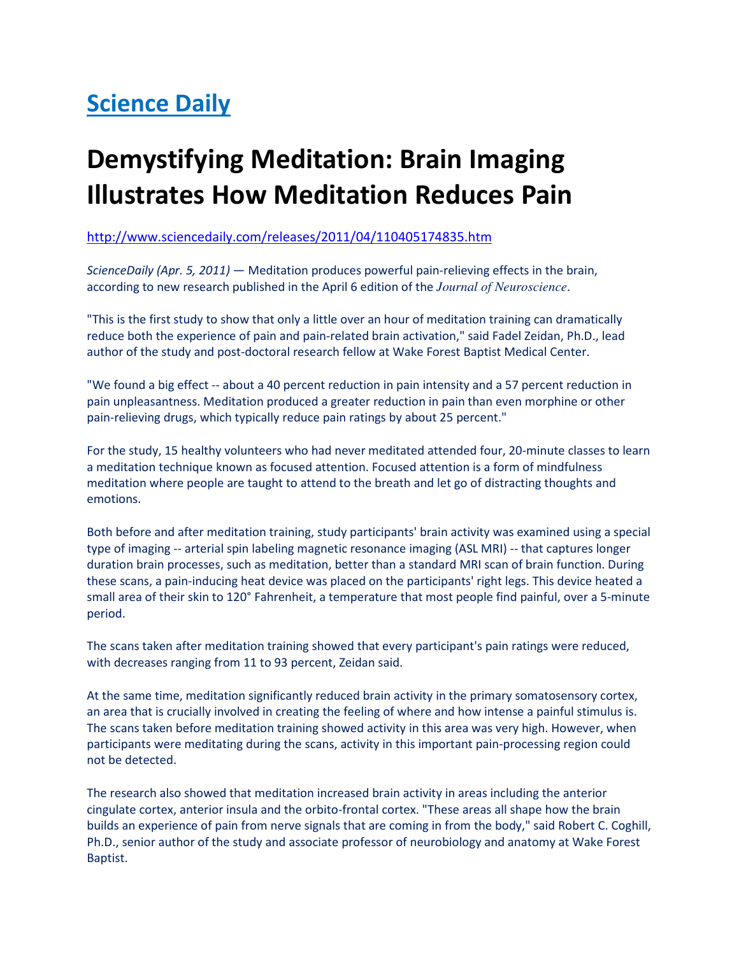## **Science Daily**

## Demystifying Meditation: Brain Imaging Illustrates How Meditation Reduces Pain

http://www.sciencedaily.com/releases/2011/04/110405174835.htm

ScienceDaily (Apr. 5, 2011) - Meditation produces powerful pain-relieving effects in the brain, according to new research published in the April 6 edition of the *Journal of Neuroscience*.

"This is the first study to show that only a little over an hour of meditation training can dramatically reduce both the experience of pain and pain-related brain activation," said Fadel Zeidan, Ph.D., lead author of the study and post-doctoral research fellow at Wake Forest Baptist Medical Center.

"We found a big effect -- about a 40 percent reduction in pain intensity and a 57 percent reduction in pain unpleasantness. Meditation produced a greater reduction in pain than even morphine or other pain-relieving drugs, which typically reduce pain ratings by about 25 percent."

For the study, 15 healthy volunteers who had never meditated attended four, 20-minute classes to learn a meditation technique known as focused attention. Focused attention is a form of mindfulness meditation where people are taught to attend to the breath and let go of distracting thoughts and emotions.

Both before and after meditation training, study participants' brain activity was examined using a special type of imaging -- arterial spin labeling magnetic resonance imaging (ASL MRI) -- that captures longer duration brain processes, such as meditation, better than a standard MRI scan of brain function. During these scans, a pain-inducing heat device was placed on the participants' right legs. This device heated a small area of their skin to 120° Fahrenheit, a temperature that most people find painful, over a 5-minute period.

The scans taken after meditation training showed that every participant's pain ratings were reduced, with decreases ranging from 11 to 93 percent, Zeidan said.

At the same time, meditation significantly reduced brain activity in the primary somatosensory cortex, an area that is crucially involved in creating the feeling of where and how intense a painful stimulus is. The scans taken before meditation training showed activity in this area was very high. However, when participants were meditating during the scans, activity in this important pain-processing region could not be detected.

The research also showed that meditation increased brain activity in areas including the anterior cingulate cortex, anterior insula and the orbito-frontal cortex. "These areas all shape how the brain builds an experience of pain from nerve signals that are coming in from the body," said Robert C. Coghill, Ph.D., senior author of the study and associate professor of neurobiology and anatomy at Wake Forest Baptist.